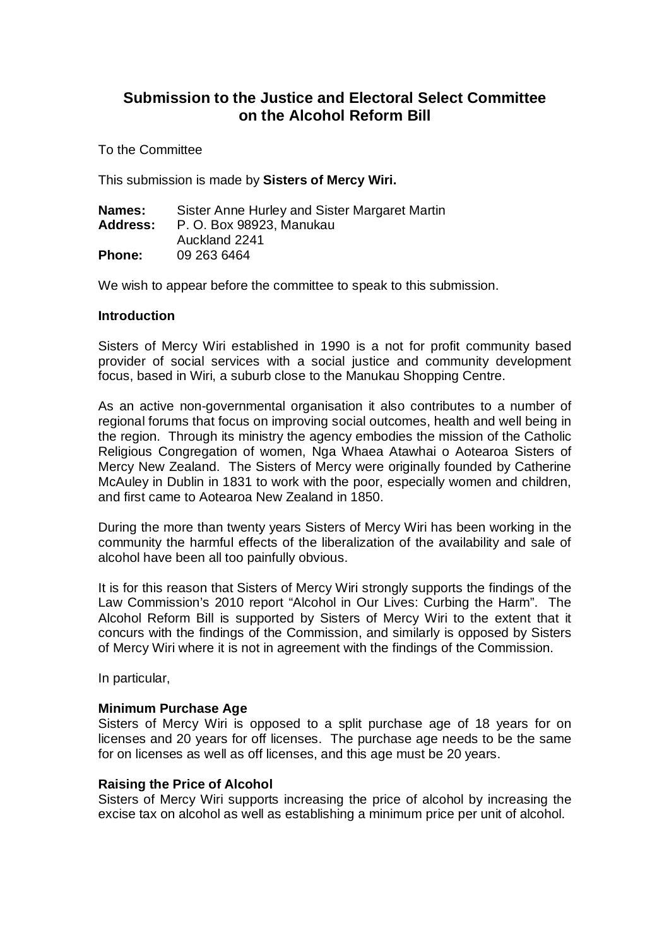# **Submission to the Justice and Electoral Select Committee on the Alcohol Reform Bill**

To the Committee

This submission is made by **Sisters of Mercy Wiri.**

| Names:          | Sister Anne Hurley and Sister Margaret Martin |
|-----------------|-----------------------------------------------|
| <b>Address:</b> | P. O. Box 98923, Manukau                      |
|                 | Auckland 2241                                 |
| <b>Phone:</b>   | 09 263 6464                                   |

We wish to appear before the committee to speak to this submission.

## **Introduction**

Sisters of Mercy Wiri established in 1990 is a not for profit community based provider of social services with a social justice and community development focus, based in Wiri, a suburb close to the Manukau Shopping Centre.

As an active non-governmental organisation it also contributes to a number of regional forums that focus on improving social outcomes, health and well being in the region. Through its ministry the agency embodies the mission of the Catholic Religious Congregation of women, Nga Whaea Atawhai o Aotearoa Sisters of Mercy New Zealand. The Sisters of Mercy were originally founded by Catherine McAuley in Dublin in 1831 to work with the poor, especially women and children, and first came to Aotearoa New Zealand in 1850.

During the more than twenty years Sisters of Mercy Wiri has been working in the community the harmful effects of the liberalization of the availability and sale of alcohol have been all too painfully obvious.

It is for this reason that Sisters of Mercy Wiri strongly supports the findings of the Law Commission's 2010 report "Alcohol in Our Lives: Curbing the Harm". The Alcohol Reform Bill is supported by Sisters of Mercy Wiri to the extent that it concurs with the findings of the Commission, and similarly is opposed by Sisters of Mercy Wiri where it is not in agreement with the findings of the Commission.

In particular,

# **Minimum Purchase Age**

Sisters of Mercy Wiri is opposed to a split purchase age of 18 years for on licenses and 20 years for off licenses. The purchase age needs to be the same for on licenses as well as off licenses, and this age must be 20 years.

## **Raising the Price of Alcohol**

Sisters of Mercy Wiri supports increasing the price of alcohol by increasing the excise tax on alcohol as well as establishing a minimum price per unit of alcohol.